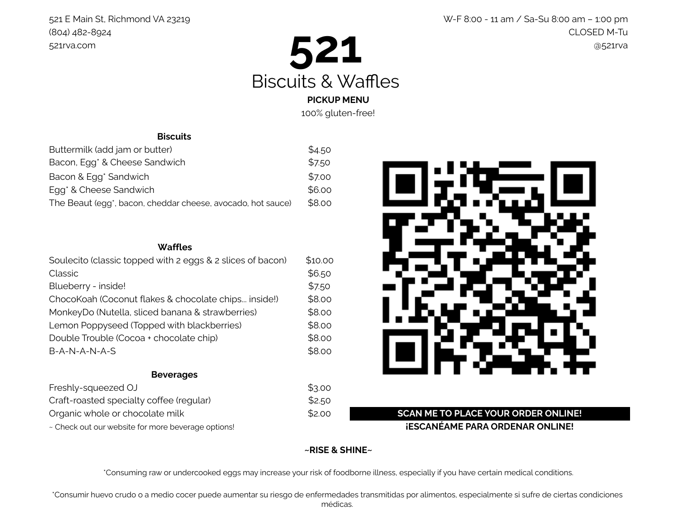

100% gluten-free!

# 521 E Main St, Richmond VA 23219 W-F 8:00 - 11 am / Sa-Su 8:00 am – 1:00 pm (804) 482-8924 CLOSED M-Tu

**Biscuits**

| Buttermilk (add jam or butter)                                           | \$4.50 |
|--------------------------------------------------------------------------|--------|
| Bacon, Egg <sup>*</sup> & Cheese Sandwich                                | \$7.50 |
| Bacon & Egg <sup>*</sup> Sandwich                                        | \$7.00 |
| Egg <sup>*</sup> & Cheese Sandwich                                       | \$6.00 |
| The Beaut (egg <sup>*</sup> , bacon, cheddar cheese, avocado, hot sauce) | \$8.00 |

## **Waffles**

| Soulecito (classic topped with 2 eggs & 2 slices of bacon) | \$10.00 |
|------------------------------------------------------------|---------|
| Classic                                                    | \$6.50  |
| Blueberry - inside!                                        | \$7.50  |
| ChocoKoah (Coconut flakes & chocolate chips inside!)       | \$8.00  |
| MonkeyDo (Nutella, sliced banana & strawberries)           | \$8.00  |
| Lemon Poppyseed (Topped with blackberries)                 | \$8.00  |
| Double Trouble (Cocoa + chocolate chip)                    | \$8.00  |
| B-A-N-A-N-A-S                                              | \$8.00  |

#### **Beverages**

| Freshly-squeezed OJ                                | \$3.00 |
|----------------------------------------------------|--------|
| Craft-roasted specialty coffee (regular)           | \$2.50 |
| Organic whole or chocolate milk                    | \$2.00 |
| ~ Check out our website for more beverage options! |        |



# \$2.00 **SCAN ME TO PLACE YOUR ORDER ONLINE!**  $-$  ESCANÉAME PARA ORDENAR ONLINE!

# **~RISE & SHINE~**

\*Consuming raw or undercooked eggs may increase your risk of foodborne illness, especially if you have certain medical conditions.

\*Consumir huevo crudo o a medio cocer puede aumentar su riesgo de enfermedades transmitidas por alimentos, especialmente si sufre de ciertas condiciones médicas.